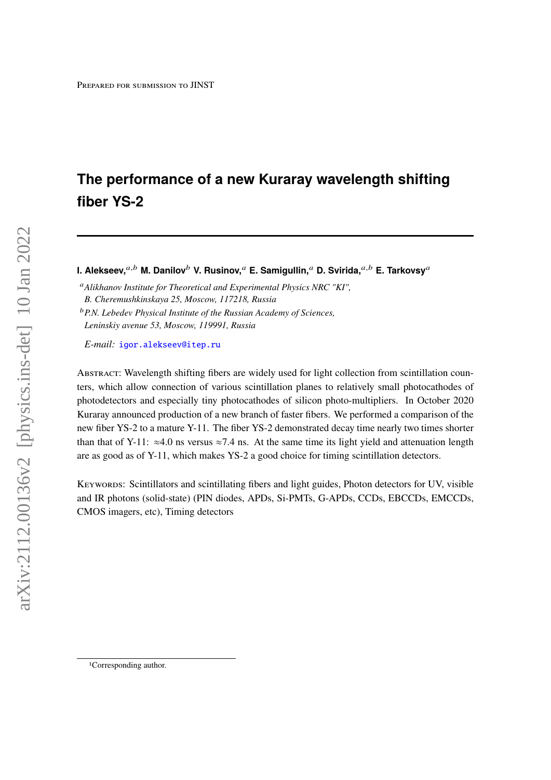# **The performance of a new Kuraray wavelength shifting fiber YS-2**

**I. Alekseev,**<sup>a,b</sup> M. Danilov<sup>b</sup> V. Rusinov,<sup>a</sup> E. Samigullin,<sup>a</sup> D. Svirida,<sup>a,b</sup> E. Tarkovsv<sup>a</sup>

*Alikhanov Institute for Theoretical and Experimental Physics NRC "KI", B. Cheremushkinskaya 25, Moscow, 117218, Russia*

*P.N. Lebedev Physical Institute of the Russian Academy of Sciences, Leninskiy avenue 53, Moscow, 119991, Russia*

*E-mail:* [igor.alekseev@itep.ru](mailto:igor.alekseev@itep.ru)

Abstract: Wavelength shifting fibers are widely used for light collection from scintillation counters, which allow connection of various scintillation planes to relatively small photocathodes of photodetectors and especially tiny photocathodes of silicon photo-multipliers. In October 2020 Kuraray announced production of a new branch of faster fibers. We performed a comparison of the new fiber YS-2 to a mature Y-11. The fiber YS-2 demonstrated decay time nearly two times shorter than that of Y-11:  $\approx$ 4.0 ns versus  $\approx$ 7.4 ns. At the same time its light yield and attenuation length are as good as of Y-11, which makes YS-2 a good choice for timing scintillation detectors.

Keywords: Scintillators and scintillating fibers and light guides, Photon detectors for UV, visible and IR photons (solid-state) (PIN diodes, APDs, Si-PMTs, G-APDs, CCDs, EBCCDs, EMCCDs, CMOS imagers, etc), Timing detectors

<sup>1</sup>Corresponding author.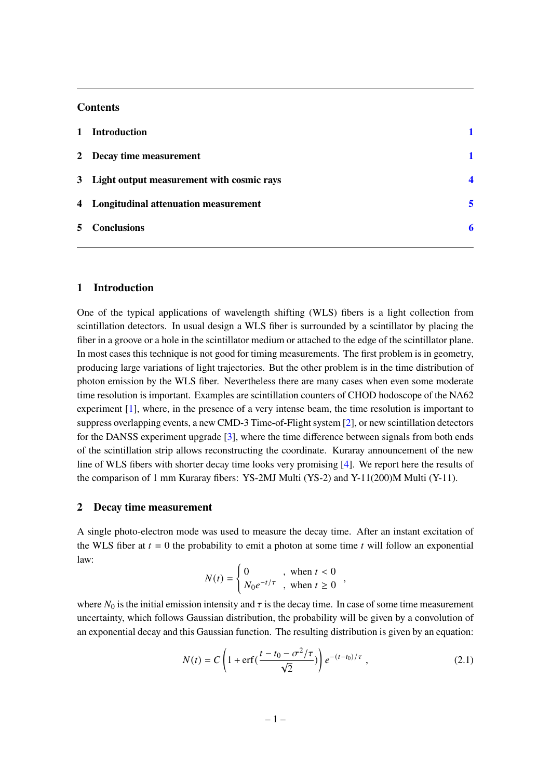## **Contents**

| 1 Introduction                              |   |
|---------------------------------------------|---|
| 2 Decay time measurement                    |   |
| 3 Light output measurement with cosmic rays | ◢ |
| 4 Longitudinal attenuation measurement      | 5 |
| 5 Conclusions                               |   |
|                                             |   |

#### <span id="page-1-0"></span>**1 Introduction**

One of the typical applications of wavelength shifting (WLS) fibers is a light collection from scintillation detectors. In usual design a WLS fiber is surrounded by a scintillator by placing the fiber in a groove or a hole in the scintillator medium or attached to the edge of the scintillator plane. In most cases this technique is not good for timing measurements. The first problem is in geometry, producing large variations of light trajectories. But the other problem is in the time distribution of photon emission by the WLS fiber. Nevertheless there are many cases when even some moderate time resolution is important. Examples are scintillation counters of CHOD hodoscope of the NA62 experiment [\[1\]](#page-6-1), where, in the presence of a very intense beam, the time resolution is important to suppress overlapping events, a new CMD-3 Time-of-Flight system [\[2\]](#page-6-2), or new scintillation detectors for the DANSS experiment upgrade [\[3\]](#page-6-3), where the time difference between signals from both ends of the scintillation strip allows reconstructing the coordinate. Kuraray announcement of the new line of WLS fibers with shorter decay time looks very promising [\[4\]](#page-6-4). We report here the results of the comparison of 1 mm Kuraray fibers: YS-2MJ Multi (YS-2) and Y-11(200)M Multi (Y-11).

#### <span id="page-1-1"></span>**2 Decay time measurement**

A single photo-electron mode was used to measure the decay time. After an instant excitation of the WLS fiber at  $t = 0$  the probability to emit a photon at some time  $t$  will follow an exponential law:

$$
N(t) = \begin{cases} 0 & , \text{ when } t < 0 \\ N_0 e^{-t/\tau} & , \text{ when } t \ge 0 \end{cases}
$$

where  $N_0$  is the initial emission intensity and  $\tau$  is the decay time. In case of some time measurement uncertainty, which follows Gaussian distribution, the probability will be given by a convolution of an exponential decay and this Gaussian function. The resulting distribution is given by an equation:

<span id="page-1-2"></span>
$$
N(t) = C \left( 1 + \text{erf}\left(\frac{t - t_0 - \sigma^2/\tau}{\sqrt{2}}\right) \right) e^{-(t - t_0)/\tau}, \tag{2.1}
$$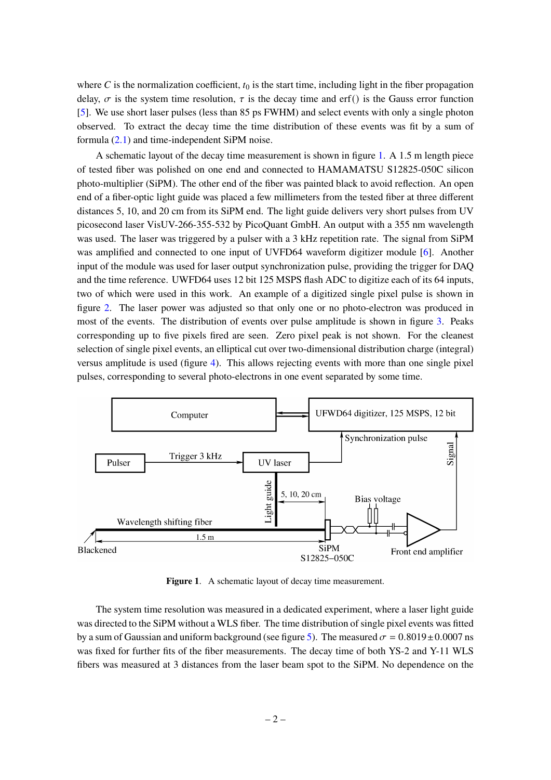where C is the normalization coefficient,  $t_0$  is the start time, including light in the fiber propagation delay,  $\sigma$  is the system time resolution,  $\tau$  is the decay time and erf() is the Gauss error function [\[5\]](#page-6-5). We use short laser pulses (less than 85 ps FWHM) and select events with only a single photon observed. To extract the decay time the time distribution of these events was fit by a sum of formula [\(2.1\)](#page-1-2) and time-independent SiPM noise.

A schematic layout of the decay time measurement is shown in figure [1.](#page-2-0) A 1.5 m length piece of tested fiber was polished on one end and connected to HAMAMATSU S12825-050C silicon photo-multiplier (SiPM). The other end of the fiber was painted black to avoid reflection. An open end of a fiber-optic light guide was placed a few millimeters from the tested fiber at three different distances 5, 10, and 20 cm from its SiPM end. The light guide delivers very short pulses from UV picosecond laser VisUV-266-355-532 by PicoQuant GmbH. An output with a 355 nm wavelength was used. The laser was triggered by a pulser with a 3 kHz repetition rate. The signal from SiPM was amplified and connected to one input of UVFD64 waveform digitizer module [\[6\]](#page-7-0). Another input of the module was used for laser output synchronization pulse, providing the trigger for DAQ and the time reference. UWFD64 uses 12 bit 125 MSPS flash ADC to digitize each of its 64 inputs, two of which were used in this work. An example of a digitized single pixel pulse is shown in figure [2.](#page-3-0) The laser power was adjusted so that only one or no photo-electron was produced in most of the events. The distribution of events over pulse amplitude is shown in figure [3.](#page-3-1) Peaks corresponding up to five pixels fired are seen. Zero pixel peak is not shown. For the cleanest selection of single pixel events, an elliptical cut over two-dimensional distribution charge (integral) versus amplitude is used (figure [4\)](#page-3-2). This allows rejecting events with more than one single pixel pulses, corresponding to several photo-electrons in one event separated by some time.



<span id="page-2-0"></span>**Figure 1**. A schematic layout of decay time measurement.

The system time resolution was measured in a dedicated experiment, where a laser light guide was directed to the SiPM without a WLS fiber. The time distribution of single pixel events was fitted by a sum of Gaussian and uniform background (see figure [5\)](#page-3-3). The measured  $\sigma = 0.8019 \pm 0.0007$  ns was fixed for further fits of the fiber measurements. The decay time of both YS-2 and Y-11 WLS fibers was measured at 3 distances from the laser beam spot to the SiPM. No dependence on the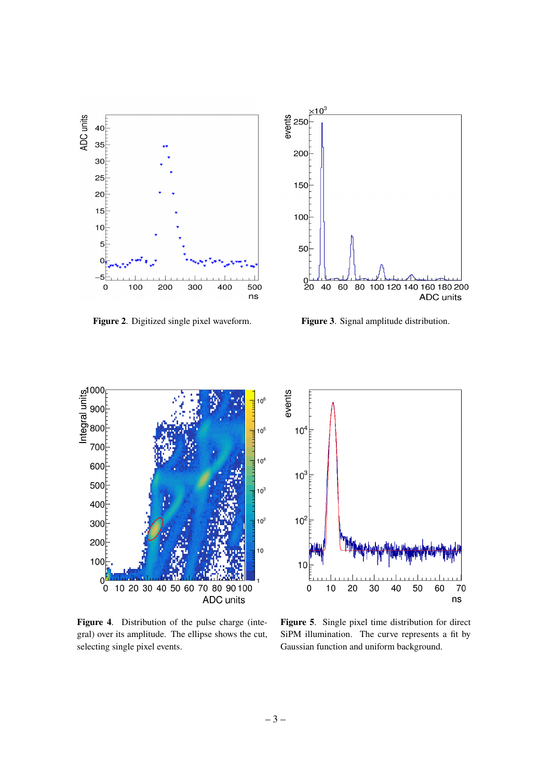

<span id="page-3-0"></span>**Figure 2**. Digitized single pixel waveform. **Figure 3**. Signal amplitude distribution.



<span id="page-3-1"></span>



<span id="page-3-2"></span>**Figure 4**. Distribution of the pulse charge (integral) over its amplitude. The ellipse shows the cut, selecting single pixel events.



<span id="page-3-3"></span>**Figure 5**. Single pixel time distribution for direct SiPM illumination. The curve represents a fit by Gaussian function and uniform background.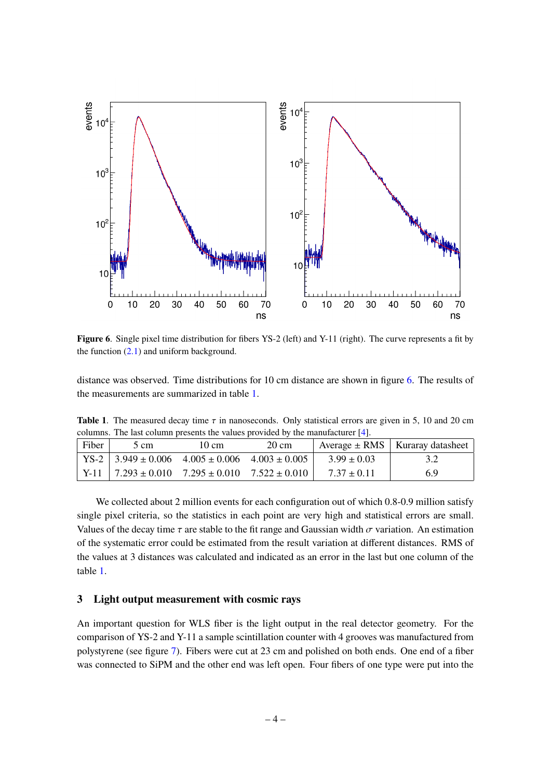

<span id="page-4-1"></span>Figure 6. Single pixel time distribution for fibers YS-2 (left) and Y-11 (right). The curve represents a fit by the function  $(2.1)$  and uniform background.

distance was observed. Time distributions for 10 cm distance are shown in figure [6.](#page-4-1) The results of the measurements are summarized in table [1.](#page-4-2)

<span id="page-4-2"></span>**Table 1.** The measured decay time  $\tau$  in nanoseconds. Only statistical errors are given in 5, 10 and 20 cm columns. The last column presents the values provided by the manufacturer [\[4\]](#page-6-4).

| Fiber | 5 cm                                                         | 10 cm | $20 \text{ cm}$ |                 | Average $\pm$ RMS   Kuraray datasheet |
|-------|--------------------------------------------------------------|-------|-----------------|-----------------|---------------------------------------|
|       | $\text{YS-2}$   3.949 ± 0.006 4.005 ± 0.006 4.003 ± 0.005    |       |                 | $3.99 \pm 0.03$ |                                       |
|       | Y-11   $7.293 \pm 0.010$ $7.295 \pm 0.010$ $7.522 \pm 0.010$ |       |                 | $7.37 \pm 0.11$ | 69                                    |

We collected about 2 million events for each configuration out of which 0.8-0.9 million satisfy single pixel criteria, so the statistics in each point are very high and statistical errors are small. Values of the decay time  $\tau$  are stable to the fit range and Gaussian width  $\sigma$  variation. An estimation of the systematic error could be estimated from the result variation at different distances. RMS of the values at 3 distances was calculated and indicated as an error in the last but one column of the table [1.](#page-4-2)

# <span id="page-4-0"></span>**3 Light output measurement with cosmic rays**

An important question for WLS fiber is the light output in the real detector geometry. For the comparison of YS-2 and Y-11 a sample scintillation counter with 4 grooves was manufactured from polystyrene (see figure [7\)](#page-5-1). Fibers were cut at 23 cm and polished on both ends. One end of a fiber was connected to SiPM and the other end was left open. Four fibers of one type were put into the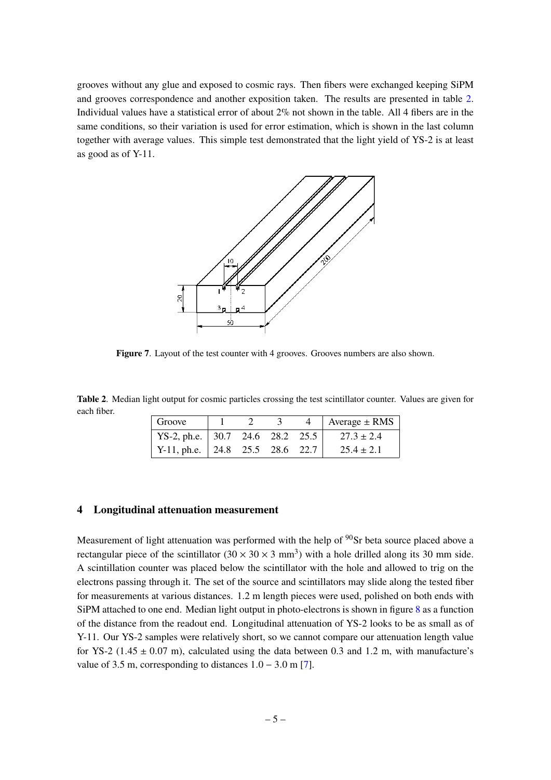grooves without any glue and exposed to cosmic rays. Then fibers were exchanged keeping SiPM and grooves correspondence and another exposition taken. The results are presented in table [2.](#page-5-2) Individual values have a statistical error of about 2% not shown in the table. All 4 fibers are in the same conditions, so their variation is used for error estimation, which is shown in the last column together with average values. This simple test demonstrated that the light yield of YS-2 is at least as good as of Y-11.



<span id="page-5-1"></span>**Figure 7**. Layout of the test counter with 4 grooves. Grooves numbers are also shown.

<span id="page-5-2"></span>**Table 2**. Median light output for cosmic particles crossing the test scintillator counter. Values are given for each fiber.

| Groove                                  |  |  | 4   Average $\pm$ RMS |
|-----------------------------------------|--|--|-----------------------|
| YS-2, ph.e. $\vert$ 30.7 24.6 28.2 25.5 |  |  | $27.3 \pm 2.4$        |
| Y-11, ph.e.   24.8 25.5 28.6 22.7       |  |  | $25.4 \pm 2.1$        |

#### <span id="page-5-0"></span>**4 Longitudinal attenuation measurement**

Measurement of light attenuation was performed with the help of  $90$ Sr beta source placed above a rectangular piece of the scintillator  $(30 \times 30 \times 3 \text{ mm}^3)$  with a hole drilled along its 30 mm side. A scintillation counter was placed below the scintillator with the hole and allowed to trig on the electrons passing through it. The set of the source and scintillators may slide along the tested fiber for measurements at various distances. 1.2 m length pieces were used, polished on both ends with SiPM attached to one end. Median light output in photo-electrons is shown in figure [8](#page-6-6) as a function of the distance from the readout end. Longitudinal attenuation of YS-2 looks to be as small as of Y-11. Our YS-2 samples were relatively short, so we cannot compare our attenuation length value for YS-2 (1.45  $\pm$  0.07 m), calculated using the data between 0.3 and 1.2 m, with manufacture's value of 3.5 m, corresponding to distances  $1.0 - 3.0$  m [\[7\]](#page-7-1).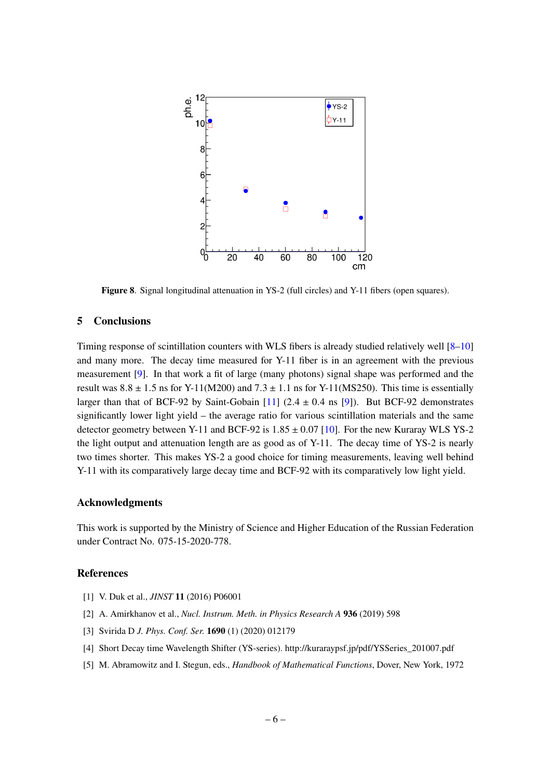

<span id="page-6-6"></span>**Figure 8.** Signal longitudinal attenuation in YS-2 (full circles) and Y-11 fibers (open squares).

# <span id="page-6-0"></span>**5 Conclusions**

Timing response of scintillation counters with WLS fibers is already studied relatively well [\[8](#page-7-2)[–10\]](#page-7-3) and many more. The decay time measured for Y-11 fiber is in an agreement with the previous measurement [\[9\]](#page-7-4). In that work a fit of large (many photons) signal shape was performed and the result was  $8.8 \pm 1.5$  ns for Y-11(M200) and  $7.3 \pm 1.1$  ns for Y-11(MS250). This time is essentially larger than that of BCF-92 by Saint-Gobain [\[11\]](#page-7-5)  $(2.4 \pm 0.4 \text{ ns}$  [\[9\]](#page-7-4)). But BCF-92 demonstrates significantly lower light yield – the average ratio for various scintillation materials and the same detector geometry between Y-11 and BCF-92 is  $1.85 \pm 0.07$  [\[10\]](#page-7-3). For the new Kuraray WLS YS-2 the light output and attenuation length are as good as of Y-11. The decay time of YS-2 is nearly two times shorter. This makes YS-2 a good choice for timing measurements, leaving well behind Y-11 with its comparatively large decay time and BCF-92 with its comparatively low light yield.

## **Acknowledgments**

This work is supported by the Ministry of Science and Higher Education of the Russian Federation under Contract No. 075-15-2020-778.

#### **References**

- <span id="page-6-1"></span>[1] V. Duk et al., *JINST* **11** (2016) P06001
- <span id="page-6-2"></span>[2] A. Amirkhanov et al., *Nucl. Instrum. Meth. in Physics Research A* **936** (2019) 598
- <span id="page-6-3"></span>[3] Svirida D *J. Phys. Conf. Ser.* **1690** (1) (2020) 012179
- <span id="page-6-4"></span>[4] Short Decay time Wavelength Shifter (YS-series). http://kuraraypsf.jp/pdf/YSSeries\_201007.pdf
- <span id="page-6-5"></span>[5] M. Abramowitz and I. Stegun, eds., *Handbook of Mathematical Functions*, Dover, New York, 1972